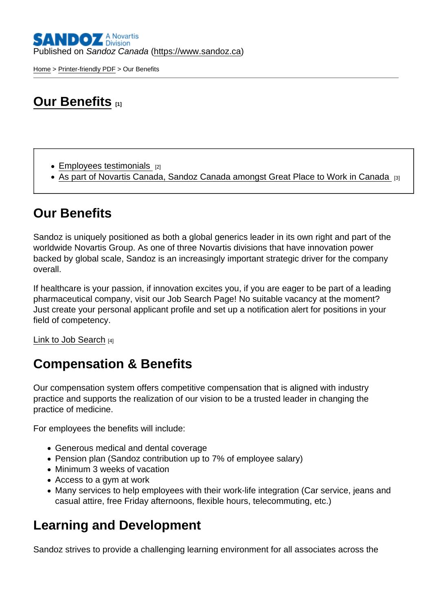[Home](https://www.sandoz.ca/en) > [Printer-friendly PDF](https://www.sandoz.ca/en/printpdf) > Our Benefits

# **[Our Benefits](https://www.sandoz.ca/en/careers/our-benefits)** [1]

- $\bullet$  [Employees testimonials](https://www.sandoz.ca/en/careers/employee-testimonials)  $[2]$
- [As part of Novartis Canada, Sandoz Canada amongst Great Place to Work in Canada](https://www.sandoz.ca/en/news/media-releases/novartis-canada-certified-great-place-work-second-consecutive-year) [3]

### Our Benefits

Sandoz is uniquely positioned as both a global generics leader in its own right and part of the worldwide Novartis Group. As one of three Novartis divisions that have innovation power backed by global scale, Sandoz is an increasingly important strategic driver for the company overall.

If healthcare is your passion, if innovation excites you, if you are eager to be part of a leading pharmaceutical company, visit our Job Search Page! No suitable vacancy at the moment? Just create your personal applicant profile and set up a notification alert for positions in your field of competency.

[Link to Job Search](https://sjobs.brassring.com/TGnewUI/Search/Home/HomeWithPreLoad?partnerid=13617&siteid=5260&PageType=searchResults&SearchType=linkquery&LinkID=2404963#home) [4]

### Compensation & Benefits

Our compensation system offers competitive compensation that is aligned with industry practice and supports the realization of our vision to be a trusted leader in changing the practice of medicine.

For employees the benefits will include:

- Generous medical and dental coverage
- Pension plan (Sandoz contribution up to 7% of employee salary)
- Minimum 3 weeks of vacation
- Access to a gym at work
- Many services to help employees with their work-life integration (Car service, jeans and casual attire, free Friday afternoons, flexible hours, telecommuting, etc.)

#### Learning and Development

Sandoz strives to provide a challenging learning environment for all associates across the